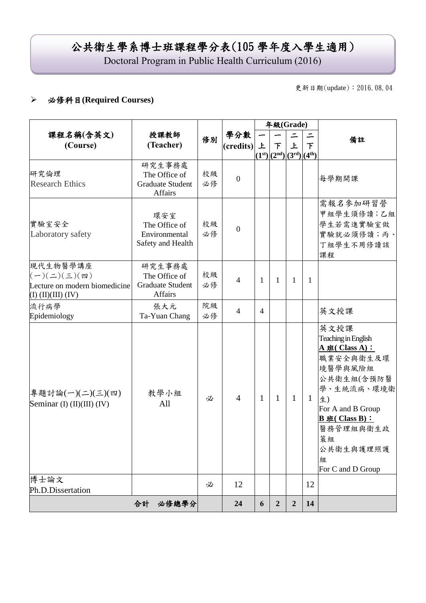# 公共衛生學系博士班課程學分表(105 學年度入學生適用)

Doctoral Program in Public Health Curriculum (2016)

更新日期(update):2016.08.04

### 必修科目**(Required Courses)**

|                                                                                                          |                                                               |          |                  | 年級(Grade)      |                             |                |              |                                                                                                                                                                                                                   |
|----------------------------------------------------------------------------------------------------------|---------------------------------------------------------------|----------|------------------|----------------|-----------------------------|----------------|--------------|-------------------------------------------------------------------------------------------------------------------------------------------------------------------------------------------------------------------|
| 課程名稱(含英文)<br>(Course)                                                                                    | 授課教師<br>(Teacher)                                             | 修別       | 學分數<br>(credits) | 上              | 下<br>$(1st)(2nd)(3rd)(4th)$ | ニ<br>上         | 下            | 備註                                                                                                                                                                                                                |
| 研究倫理<br><b>Research Ethics</b>                                                                           | 研究生事務處<br>The Office of<br><b>Graduate Student</b><br>Affairs | 校級<br>必修 | $\overline{0}$   |                |                             |                |              | 每學期開課                                                                                                                                                                                                             |
| 實驗室安全<br>Laboratory safety                                                                               | 環安室<br>The Office of<br>Environmental<br>Safety and Health    | 校級<br>必修 | $\overline{0}$   |                |                             |                |              | 需報名參加研習營<br>甲組學生須修讀;乙組<br>學生若需進實驗室做<br>實驗就必須修讀;丙、<br>丁組學生不用修讀該<br>課程                                                                                                                                              |
| 現代生物醫學講座<br>$(-)(\leq)(\leq)(\mathfrak{m})$<br>Lecture on modern biomedicine<br>$(I)$ $(II)(III)$ $(IV)$ | 研究生事務處<br>The Office of<br><b>Graduate Student</b><br>Affairs | 校級<br>必修 | $\overline{4}$   | 1              | $\mathbf{1}$                | 1              | 1            |                                                                                                                                                                                                                   |
| 流行病學<br>Epidemiology                                                                                     | 張大元<br>Ta-Yuan Chang                                          | 院級<br>必修 | $\overline{4}$   | $\overline{4}$ |                             |                |              | 英文授課                                                                                                                                                                                                              |
| 專題討論(一)(二)(三)(四)<br>Seminar (I) $(II)(III)(IV)$                                                          | 教學小組<br>All                                                   | 必        | $\overline{4}$   | 1              | $\mathbf{1}$                | $\mathbf{1}$   | $\mathbf{1}$ | 英文授課<br>Teaching in English<br>$A \# (Class A)$ :<br>職業安全與衛生及環<br>境醫學與風險組<br>公共衛生組(含預防醫<br>學、生統流病、環境衛<br>生)<br>For A and B Group<br>$B \# ( Class B) :$<br>醫務管理組與衛生政<br>策組<br>公共衛生與護理照護<br>組<br>For C and D Group |
| 博士論文<br>Ph.D.Dissertation                                                                                |                                                               | 必        | 12               |                |                             |                | 12           |                                                                                                                                                                                                                   |
|                                                                                                          | 合計<br>必修總學分                                                   |          | 24               | 6              | $\boldsymbol{2}$            | $\overline{2}$ | 14           |                                                                                                                                                                                                                   |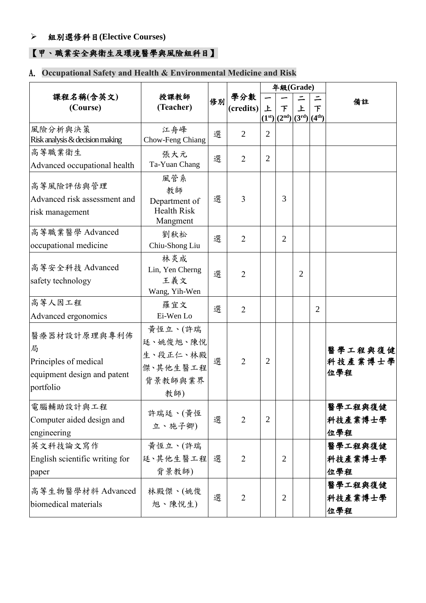#### 組別選修科目**(Elective Courses)**

## 【甲、職業安全與衛生及環境醫學與風險組科目】

## A. **Occupational Safety and Health & Environmental Medicine and Risk**

|                                                                                        |                                                               |    |                |                | 年級(Grade)                        |                |                |                           |
|----------------------------------------------------------------------------------------|---------------------------------------------------------------|----|----------------|----------------|----------------------------------|----------------|----------------|---------------------------|
| 課程名稱(含英文)                                                                              | 授課教師                                                          | 修別 | 學分數            |                |                                  |                |                | 備註                        |
| (Course)                                                                               | (Teacher)                                                     |    | (credits)      | 上              | $\tau$<br>$(1st)(2nd)(3rd)(4th)$ | 上              | $\tau$         |                           |
| 風險分析與決策<br>Risk analysis & decision making                                             | 江舟峰<br>Chow-Feng Chiang                                       | 選  | $\overline{2}$ | $\overline{2}$ |                                  |                |                |                           |
| 高等職業衛生<br>Advanced occupational health                                                 | 張大元<br>Ta-Yuan Chang                                          | 選  | $\overline{2}$ | $\overline{2}$ |                                  |                |                |                           |
| 高等風險評估與管理<br>Advanced risk assessment and<br>risk management                           | 風管系<br>教師<br>Department of<br><b>Health Risk</b><br>Mangment  | 選  | 3              |                | 3                                |                |                |                           |
| 高等職業醫學 Advanced<br>occupational medicine                                               | 劉秋松<br>Chiu-Shong Liu                                         | 選  | $\overline{2}$ |                | $\overline{2}$                   |                |                |                           |
| 高等安全科技 Advanced<br>safety technology                                                   | 林炎成<br>Lin, Yen Cherng<br>王義文<br>Wang, Yih-Wen                | 選  | $\overline{2}$ |                |                                  | $\overline{2}$ |                |                           |
| 高等人因工程<br>Advanced ergonomics                                                          | 羅宜文<br>Ei-Wen Lo                                              | 選  | $\overline{2}$ |                |                                  |                | $\overline{2}$ |                           |
| 醫療器材設計原理與專利佈<br>局<br>Principles of medical<br>equipment design and patent<br>portfolio | 黄恆立、(許瑞<br>廷、姚俊旭、陳悅<br>生、段正仁、林殿<br>傑、其他生醫工程<br>背景教師與業界<br>教師) | 選  | $\overline{2}$ | $\overline{2}$ |                                  |                |                | 醫學工程與復健<br>科技產業博士學<br>位學程 |
| 電腦輔助設計與工程<br>Computer aided design and<br>engineering                                  | 許瑞廷、(黃恆<br>立、施子卿)                                             | 選  | $\overline{2}$ | $\overline{2}$ |                                  |                |                | 醫學工程與復健<br>科技產業博士學<br>位學程 |
| 英文科技論文寫作<br>English scientific writing for<br>paper                                    | 黃恆立、(許瑞<br>廷、其他生醫工程<br>背景教師)                                  | 選  | 2              |                | $\overline{2}$                   |                |                | 醫學工程與復健<br>科技產業博士學<br>位學程 |
| 高等生物醫學材料 Advanced<br>biomedical materials                                              | 林殿傑、(姚俊<br>旭、陳悅生)                                             | 選  | 2              |                | $\overline{2}$                   |                |                | 醫學工程與復健<br>科技產業博士學<br>位學程 |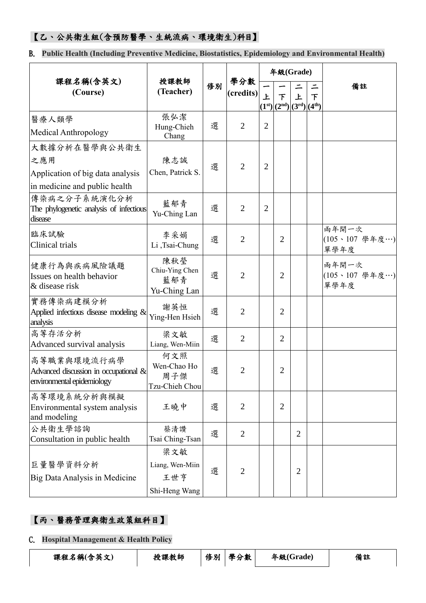#### 【乙、公共衛生組(含預防醫學、生統流病、環境衛生)科目】

B. **Public Health (Including Preventive Medicine, Biostatistics, Epidemiology and Environmental Health)**

|                                                                                           | 授課教師                                           |                     | 年級(Grade)        |                |                            |                                    |                         |                                 |  |
|-------------------------------------------------------------------------------------------|------------------------------------------------|---------------------|------------------|----------------|----------------------------|------------------------------------|-------------------------|---------------------------------|--|
| 課程名稱(含英文)<br>(Course)                                                                     | 修別<br>(Teacher)                                |                     | 學分數<br>(credits) | 上              | 下<br>$(1^{st})$ $(2^{nd})$ | 上<br>$(3^{\rm rd})$ $(4^{\rm th})$ | $\overline{\mathsf{F}}$ | 備註                              |  |
| 醫療人類學<br>Medical Anthropology                                                             | 張弘潔<br>Hung-Chieh<br>Chang                     | 選                   | $\overline{2}$   | $\overline{2}$ |                            |                                    |                         |                                 |  |
| 大數據分析在醫學與公共衛生<br>之應用<br>Application of big data analysis<br>in medicine and public health | 陳志誠<br>Chen, Patrick S.                        | 選                   | $\overline{2}$   | $\overline{2}$ |                            |                                    |                         |                                 |  |
| 傳染病之分子系統演化分析<br>The phylogenetic analysis of infectious<br>disease                        | 藍郁青<br>Yu-Ching Lan                            | $\overline{2}$<br>選 |                  | $\overline{2}$ |                            |                                    |                         |                                 |  |
| 臨床試驗<br>Clinical trials                                                                   | 李采娟<br>Li,Tsai-Chung                           | 選                   | $\overline{2}$   |                | 2                          |                                    |                         | 兩年開一次<br>(105、107 學年度…)<br>單學年度 |  |
| 健康行為與疾病風險議題<br>Issues on health behavior<br>& disease risk                                | 陳秋瑩<br>Chiu-Ying Chen<br>藍郁青<br>Yu-Ching Lan   | 選                   | $\overline{2}$   |                | $\overline{2}$             |                                    |                         | 兩年開一次<br>(105、107 學年度…)<br>單學年度 |  |
| 實務傳染病建模分析<br>Applied infectious disease modeling $\&$<br>analysis                         | 謝英恒<br>Ying-Hen Hsieh                          | 選                   | $\overline{2}$   |                | $\overline{2}$             |                                    |                         |                                 |  |
| 高等存活分析<br>Advanced survival analysis                                                      | 梁文敏<br>Liang, Wen-Miin                         | 選                   | $\overline{2}$   |                | $\overline{2}$             |                                    |                         |                                 |  |
| 高等職業與環境流行病學<br>Advanced discussion in occupational &<br>environmental epidemiology        | 何文照<br>Wen-Chao Ho<br>周子傑<br>Tzu-Chieh Chou    | 選                   | $\overline{2}$   |                | 2                          |                                    |                         |                                 |  |
| 高等環境系統分析與模擬<br>Environmental system analysis<br>and modeling                              | 王曉中                                            | 選                   | $\overline{2}$   |                | $\overline{2}$             |                                    |                         |                                 |  |
| 公共衛生學諮詢<br>Consultation in public health                                                  | 蔡清讚<br>Tsai Ching-Tsan                         | 選                   | $\overline{2}$   |                |                            | 2                                  |                         |                                 |  |
| 巨量醫學資料分析<br>Big Data Analysis in Medicine                                                 | 梁文敏<br>Liang, Wen-Miin<br>王世亨<br>Shi-Heng Wang | 選                   | $\overline{2}$   |                |                            | $\overline{2}$                     |                         |                                 |  |

#### 【丙、醫務管理與衛生政策組科目】

C. **Hospital Management & Health Policy**

課程名稱**(**含英文**)** 授課教師 修別 學分數 年級**(Grade)** 備註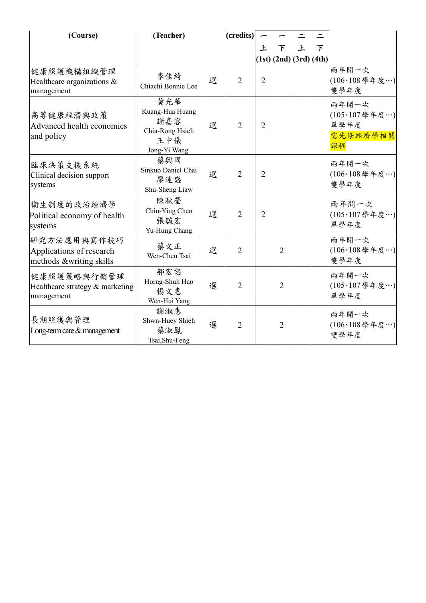| (Course)                                                           | (Teacher)                                                               |   | ( <b>credits</b> ) |                |                         |   |   |                                                  |
|--------------------------------------------------------------------|-------------------------------------------------------------------------|---|--------------------|----------------|-------------------------|---|---|--------------------------------------------------|
|                                                                    |                                                                         |   |                    | 上              | 下                       | 上 | 下 |                                                  |
|                                                                    |                                                                         |   |                    |                | (1st) (2nd) (3rd) (4th) |   |   |                                                  |
| 健康照護機構組織管理<br>Healthcare organizations &<br>management             | 李佳綺<br>Chiachi Bonnie Lee                                               | 選 | $\overline{2}$     | $\overline{2}$ |                         |   |   | 兩年開一次<br>(106、108學年度…)<br>雙學年度                   |
| 高等健康經濟與政策<br>Advanced health economics<br>and policy               | 黄光華<br>Kuang-Hua Huang<br>謝嘉容<br>Chia-Rong Hsieh<br>王中儀<br>Jong-Yi Wang | 選 | $\overline{2}$     | $\overline{2}$ |                         |   |   | 兩年開一次<br>(105、107學年度…)<br>單學年度<br>需先修經濟學相關<br>課程 |
| 臨床決策支援系統<br>Clinical decision support<br>systems                   | 蔡興國<br>Sinkuo Daniel Chai<br>廖述盛<br>Shu-Sheng Liaw                      | 選 | $\overline{2}$     | $\overline{2}$ |                         |   |   | 兩年開一次<br>(106、108學年度…)<br>雙學年度                   |
| 衛生制度的政治經濟學<br>Political economy of health<br>systems               | 陳秋瑩<br>Chiu-Ying Chen<br>張毓宏<br>Yu-Hung Chang                           | 選 | $\overline{2}$     | $\overline{2}$ |                         |   |   | 兩年開一次<br>(105、107學年度…)<br>單學年度                   |
| 研究方法應用與寫作技巧<br>Applications of research<br>methods &writing skills | 蔡文正<br>Wen-Chen Tsai                                                    | 選 | $\overline{2}$     |                | $\overline{2}$          |   |   | 雨年開一次<br>(106、108學年度…)<br>雙學年度                   |
| 健康照護策略與行銷管理<br>Healthcare strategy & marketing<br>management       | 郝宏恕<br>Horng-Shuh Hao<br>楊文惠<br>Wen-Hui Yang                            | 選 | $\overline{2}$     |                | $\overline{2}$          |   |   | 兩年開一次<br>(105、107學年度…)<br>單學年度                   |
| 長期照護與管理<br>Long-term care & management                             | 謝淑惠<br>Shwn-Huey Shieh<br>蔡淑鳳<br>Tsai, Shu-Feng                         | 選 | $\overline{2}$     |                | $\overline{2}$          |   |   | 兩年開一次<br>(106、108學年度…)<br>雙學年度                   |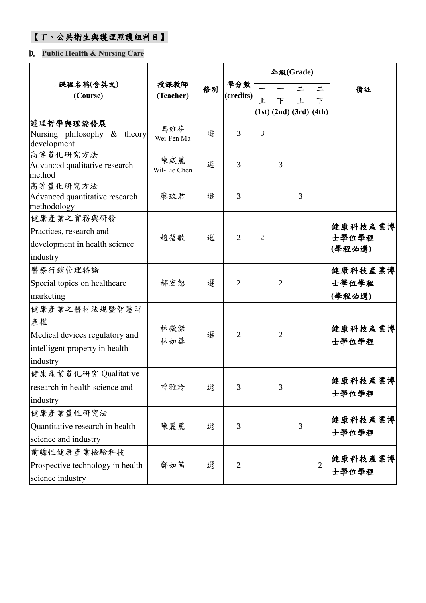## 【丁、公共衛生與護理照護組科目】

#### D. **Public Health & Nursing Care**

|                                                                                                     |                     |    |                  | 年級(Grade)      |                         |   |                |                            |
|-----------------------------------------------------------------------------------------------------|---------------------|----|------------------|----------------|-------------------------|---|----------------|----------------------------|
| 課程名稱(含英文)<br>(Course)                                                                               | 授課教師<br>(Teacher)   | 修別 | 學分數<br>(credits) | 上              | 下                       | 上 | 下              | 備註                         |
|                                                                                                     |                     |    |                  |                | (1st) (2nd) (3rd) (4th) |   |                |                            |
| 護理哲學與理論發展<br>Nursing philosophy $\&$ theory<br>development                                          | 馬維芬<br>Wei-Fen Ma   | 選  | 3                | 3              |                         |   |                |                            |
| 高等質化研究方法<br>Advanced qualitative research<br>method                                                 | 陳威麗<br>Wil-Lie Chen | 選  | 3                |                | 3                       |   |                |                            |
| 高等量化研究方法<br>Advanced quantitative research<br>methodology                                           | 廖玟君                 | 選  | 3                |                |                         | 3 |                |                            |
| 健康產業之實務與研發<br>Practices, research and<br>development in health science<br>industry                  | 趙蓓敏                 | 選  | 2                | $\overline{c}$ |                         |   |                | 健康科技產業博<br>士學位學程<br>(學程必選) |
| 醫療行銷管理特論<br>Special topics on healthcare<br>marketing                                               | 郝宏恕                 | 選  | $\overline{2}$   |                | $\overline{2}$          |   |                | 健康科技產業博<br>士學位學程<br>(學程必選) |
| 健康產業之醫材法規暨智慧財<br>產權<br>Medical devices regulatory and<br>intelligent property in health<br>industry | 林殿傑<br>林如華          | 選  | 2                |                | 2                       |   |                | 健康科技產業博<br>士學位學程           |
| 健康產業質化研究 Qualitative<br>research in health science and<br>industry                                  | 曾雅玲                 | 選  | 3                |                | 3                       |   |                | 健康科技產業博<br>士學位學程           |
| 健康產業量性研究法<br>Quantitative research in health<br>science and industry                                | 陳麗麗                 | 選  | 3                |                |                         | 3 |                | 健康科技產業博<br>士學位學程           |
| 前瞻性健康產業檢驗科技<br>Prospective technology in health<br>science industry                                 | 鄭如茜                 | 選  | $\overline{2}$   |                |                         |   | $\overline{2}$ | 健康科技產業博<br>士學位學程           |